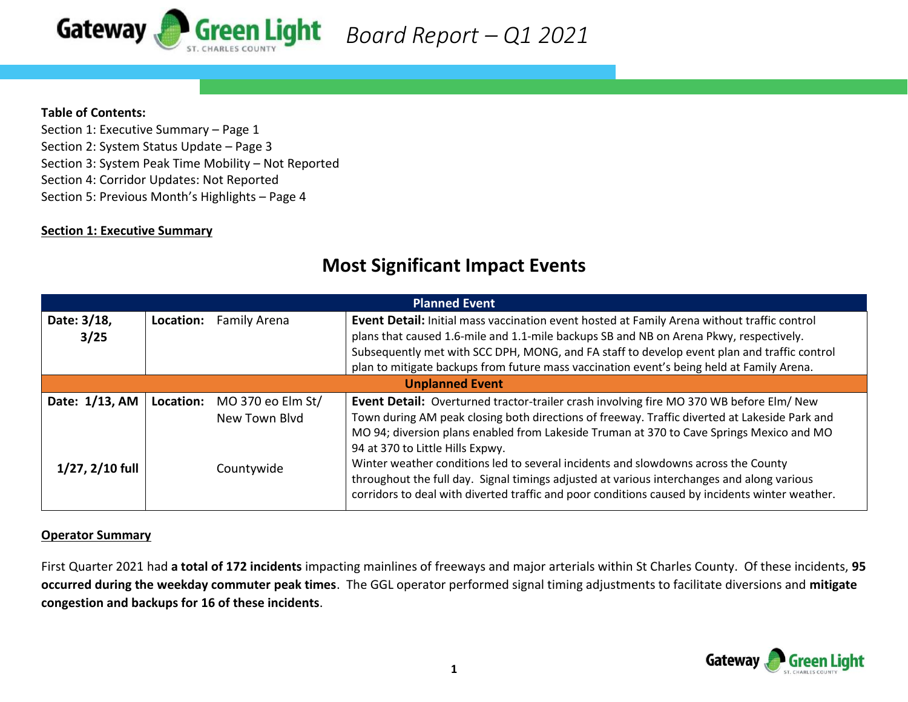

 *Board Report – Q1 2021*

#### **Table of Contents:**

Section 1: Executive Summary – Page 1 Section 2: System Status Update – Page 3 Section 3: System Peak Time Mobility – Not Reported Section 4: Corridor Updates: Not Reported Section 5: Previous Month's Highlights – Page 4

## **Section 1: Executive Summary**

| <b>Planned Event</b>                     |            |                   |                                                                                                 |  |  |  |  |  |
|------------------------------------------|------------|-------------------|-------------------------------------------------------------------------------------------------|--|--|--|--|--|
| Date: 3/18,<br>Family Arena<br>Location: |            |                   | Event Detail: Initial mass vaccination event hosted at Family Arena without traffic control     |  |  |  |  |  |
| 3/25                                     |            |                   | plans that caused 1.6-mile and 1.1-mile backups SB and NB on Arena Pkwy, respectively.          |  |  |  |  |  |
|                                          |            |                   | Subsequently met with SCC DPH, MONG, and FA staff to develop event plan and traffic control     |  |  |  |  |  |
|                                          |            |                   | plan to mitigate backups from future mass vaccination event's being held at Family Arena.       |  |  |  |  |  |
| <b>Unplanned Event</b>                   |            |                   |                                                                                                 |  |  |  |  |  |
| Date: 1/13, AM                           | Location:  | MO 370 eo Elm St/ | Event Detail: Overturned tractor-trailer crash involving fire MO 370 WB before Elm/ New         |  |  |  |  |  |
|                                          |            | New Town Blyd     | Town during AM peak closing both directions of freeway. Traffic diverted at Lakeside Park and   |  |  |  |  |  |
|                                          |            |                   | MO 94; diversion plans enabled from Lakeside Truman at 370 to Cave Springs Mexico and MO        |  |  |  |  |  |
|                                          | Countywide |                   | 94 at 370 to Little Hills Expwy.                                                                |  |  |  |  |  |
| $1/27, 2/10$ full                        |            |                   | Winter weather conditions led to several incidents and slowdowns across the County              |  |  |  |  |  |
|                                          |            |                   | throughout the full day. Signal timings adjusted at various interchanges and along various      |  |  |  |  |  |
|                                          |            |                   | corridors to deal with diverted traffic and poor conditions caused by incidents winter weather. |  |  |  |  |  |

# **Most Significant Impact Events**

#### **Operator Summary**

First Quarter 2021 had **a total of 172 incidents** impacting mainlines of freeways and major arterials within St Charles County. Of these incidents, **95 occurred during the weekday commuter peak times**. The GGL operator performed signal timing adjustments to facilitate diversions and **mitigate congestion and backups for 16 of these incidents**.

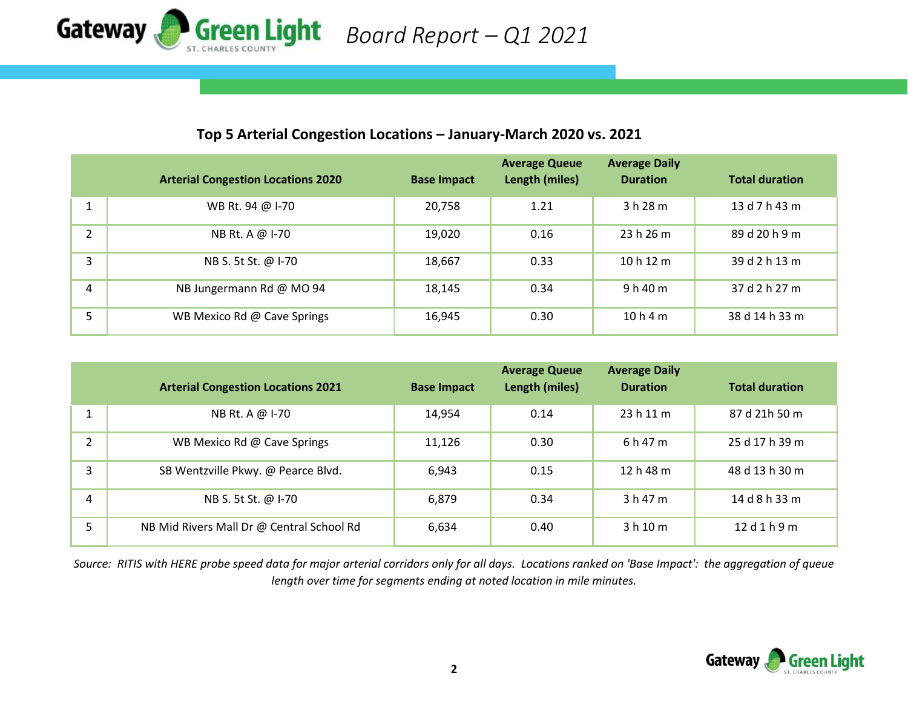

# **Top 5 Arterial Congestion Locations – January-March 2020 vs. 2021**

|               | <b>Arterial Congestion Locations 2020</b> | <b>Base Impact</b> | <b>Average Queue</b><br>Length (miles) | <b>Average Daily</b><br><b>Duration</b> | <b>Total duration</b> |
|---------------|-------------------------------------------|--------------------|----------------------------------------|-----------------------------------------|-----------------------|
|               | WB Rt. 94 @ I-70                          | 20,758             | 1.21                                   | 3h28m                                   | 13 d 7 h 43 m         |
| $\mathcal{L}$ | NB Rt. A @ I-70                           | 19,020             | 0.16                                   | 23h26m                                  | 89 d 20 h 9 m         |
| 3             | NB S. 5t St. @ I-70                       | 18,667             | 0.33                                   | 10h12m                                  | 39 d 2 h 13 m         |
| 4             | NB Jungermann Rd @ MO 94                  | 18,145             | 0.34                                   | 9h40m                                   | 37 d 2 h 27 m         |
| 5             | WB Mexico Rd @ Cave Springs               | 16,945             | 0.30                                   | 10h4m                                   | 38 d 14 h 33 m        |

|               | <b>Arterial Congestion Locations 2021</b> | <b>Base Impact</b> | <b>Average Queue</b><br>Length (miles) | <b>Average Daily</b><br><b>Duration</b> | <b>Total duration</b> |
|---------------|-------------------------------------------|--------------------|----------------------------------------|-----------------------------------------|-----------------------|
|               | NB Rt. A @ I-70                           | 14,954             | 0.14                                   | 23h11m                                  | 87 d 21h 50 m         |
| $\mathcal{P}$ | WB Mexico Rd @ Cave Springs               | 11,126             | 0.30                                   | 6 h 47 m                                | 25 d 17 h 39 m        |
| 3             | SB Wentzville Pkwy. @ Pearce Blvd.        | 6,943              | 0.15                                   | 12h48m                                  | 48 d 13 h 30 m        |
| 4             | NB S. 5t St. @ I-70                       | 6,879              | 0.34                                   | 3 h 47 m                                | 14 d 8 h 33 m         |
| 5             | NB Mid Rivers Mall Dr @ Central School Rd | 6,634              | 0.40                                   | 3 h 10 m                                | 12d1h9m               |

*Source: RITIS with HERE probe speed data for major arterial corridors only for all days. Locations ranked on 'Base Impact': the aggregation of queue length over time for segments ending at noted location in mile minutes.*

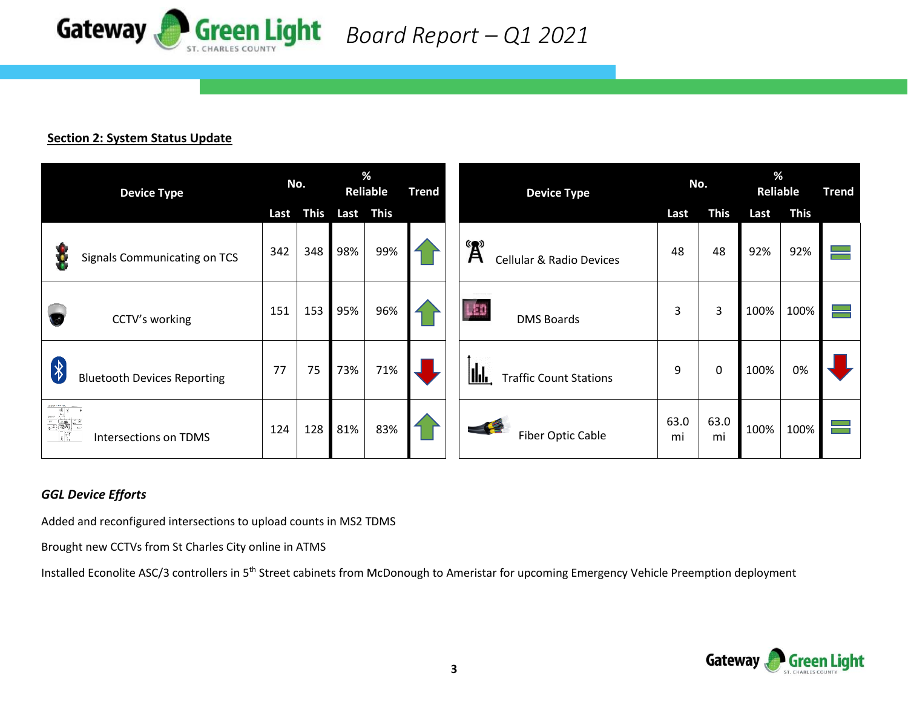

 *Board Report – Q1 2021*

#### **Section 2: System Status Update**

| <b>Device Type</b>                                                                                                                                                                                                                                                                                                                                                                                                                                         |      | No.         |     | %<br><b>Reliable</b> |  | <b>Device Type</b>                                    | No.        |             | %<br>Reliable |             | <b>Trend</b> |
|------------------------------------------------------------------------------------------------------------------------------------------------------------------------------------------------------------------------------------------------------------------------------------------------------------------------------------------------------------------------------------------------------------------------------------------------------------|------|-------------|-----|----------------------|--|-------------------------------------------------------|------------|-------------|---------------|-------------|--------------|
|                                                                                                                                                                                                                                                                                                                                                                                                                                                            | Last | <b>This</b> |     | Last This            |  |                                                       | Last       | <b>This</b> | Last          | <b>This</b> |              |
| Signals Communicating on TCS                                                                                                                                                                                                                                                                                                                                                                                                                               | 342  | 348         | 98% | 99%                  |  | $\mathbf{A}^*$<br><b>Cellular &amp; Radio Devices</b> | 48         | 48          | 92%           | 92%         |              |
| CCTV's working                                                                                                                                                                                                                                                                                                                                                                                                                                             | 151  | 153         | 95% | 96%                  |  | <b>UED</b><br><b>DMS Boards</b>                       | 3          | 3           | 100%          | 100%        |              |
| $\left\vert \begin{smallmatrix} \downarrow \ \downarrow \end{smallmatrix} \right\vert$<br><b>Bluetooth Devices Reporting</b>                                                                                                                                                                                                                                                                                                                               | 77   | 75          | 73% | 71%                  |  | <u>llılı,</u><br><b>Traffic Count Stations</b>        | 9          | 0           | 100%          | 0%          |              |
| $\begin{array}{c c c c} \hline \mathbb{E} & \mathbb{E} & \mathbb{E} & \mathbb{E} & \mathbb{E} & \mathbb{E} & \mathbb{E} & \mathbb{E} & \mathbb{E} & \mathbb{E} & \mathbb{E} & \mathbb{E} & \mathbb{E} & \mathbb{E} & \mathbb{E} & \mathbb{E} & \mathbb{E} & \mathbb{E} & \mathbb{E} & \mathbb{E} & \mathbb{E} & \mathbb{E} & \mathbb{E} & \mathbb{E} & \mathbb{E} & \mathbb{E} & \mathbb{E} & \mathbb{E} & \mathbb{E} & \$<br><b>Intersections on TDMS</b> | 124  | 128         | 81% | 83%                  |  | $-4$<br><b>Fiber Optic Cable</b>                      | 63.0<br>mi | 63.0<br>mi  | 100%          | 100%        |              |

## *GGL Device Efforts*

Added and reconfigured intersections to upload counts in MS2 TDMS

Brought new CCTVs from St Charles City online in ATMS

Installed Econolite ASC/3 controllers in 5<sup>th</sup> Street cabinets from McDonough to Ameristar for upcoming Emergency Vehicle Preemption deployment

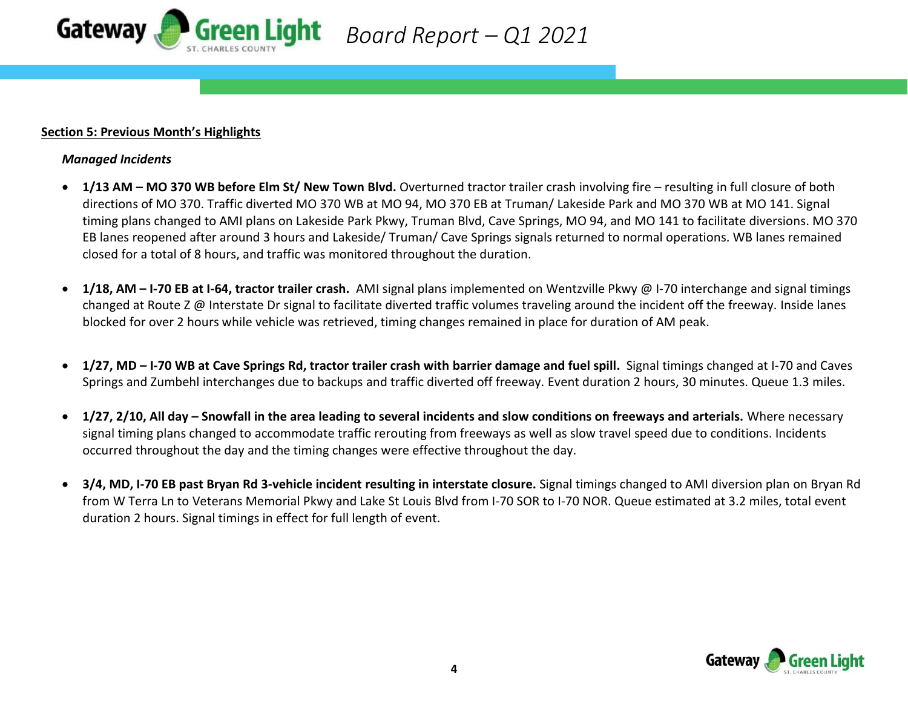

#### **Section 5: Previous Month's Highlights**

#### *Managed Incidents*

• **1/13 AM – MO 370 WB before Elm St/ New Town Blvd.** Overturned tractor trailer crash involving fire – resulting in full closure of both directions of MO 370. Traffic diverted MO 370 WB at MO 94, MO 370 EB at Truman/ Lakeside Park and MO 370 WB at MO 141. Signal timing plans changed to AMI plans on Lakeside Park Pkwy, Truman Blvd, Cave Springs, MO 94, and MO 141 to facilitate diversions. MO 370 EB lanes reopened after around 3 hours and Lakeside/ Truman/ Cave Springs signals returned to normal operations. WB lanes remained closed for a total of 8 hours, and traffic was monitored throughout the duration.

 *Board Report – Q1 2021*

- **1/18, AM – I-70 EB at I-64, tractor trailer crash.** AMI signal plans implemented on Wentzville Pkwy @ I-70 interchange and signal timings changed at Route Z @ Interstate Dr signal to facilitate diverted traffic volumes traveling around the incident off the freeway. Inside lanes blocked for over 2 hours while vehicle was retrieved, timing changes remained in place for duration of AM peak.
- **1/27, MD – I-70 WB at Cave Springs Rd, tractor trailer crash with barrier damage and fuel spill.** Signal timings changed at I-70 and Caves Springs and Zumbehl interchanges due to backups and traffic diverted off freeway. Event duration 2 hours, 30 minutes. Queue 1.3 miles.
- **1/27, 2/10, All day – Snowfall in the area leading to several incidents and slow conditions on freeways and arterials.** Where necessary signal timing plans changed to accommodate traffic rerouting from freeways as well as slow travel speed due to conditions. Incidents occurred throughout the day and the timing changes were effective throughout the day.
- **3/4, MD, I-70 EB past Bryan Rd 3-vehicle incident resulting in interstate closure.** Signal timings changed to AMI diversion plan on Bryan Rd from W Terra Ln to Veterans Memorial Pkwy and Lake St Louis Blvd from I-70 SOR to I-70 NOR. Queue estimated at 3.2 miles, total event duration 2 hours. Signal timings in effect for full length of event.

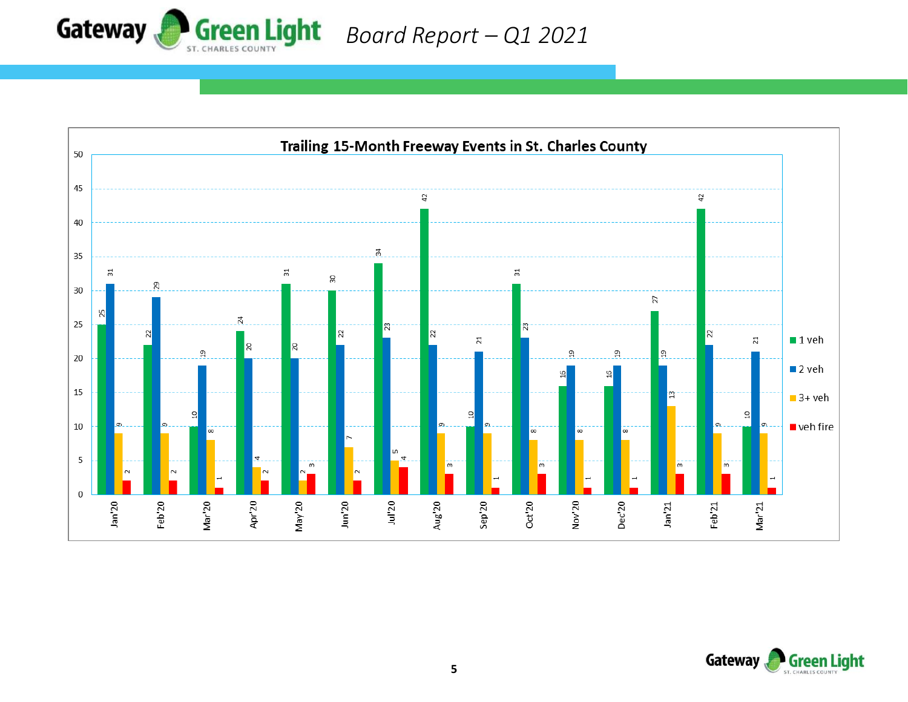